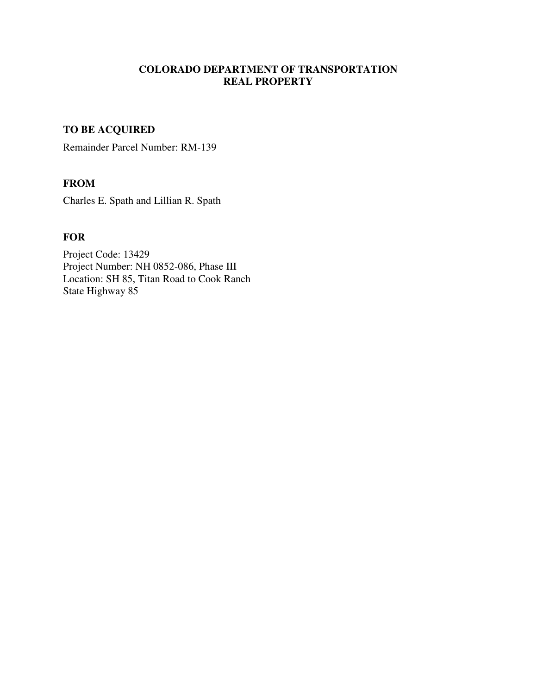# **COLORADO DEPARTMENT OF TRANSPORTATION REAL PROPERTY**

# **TO BE ACQUIRED**

Remainder Parcel Number: RM-139

# **FROM**

Charles E. Spath and Lillian R. Spath

## **FOR**

Project Code: 13429 Project Number: NH 0852-086, Phase III Location: SH 85, Titan Road to Cook Ranch State Highway 85